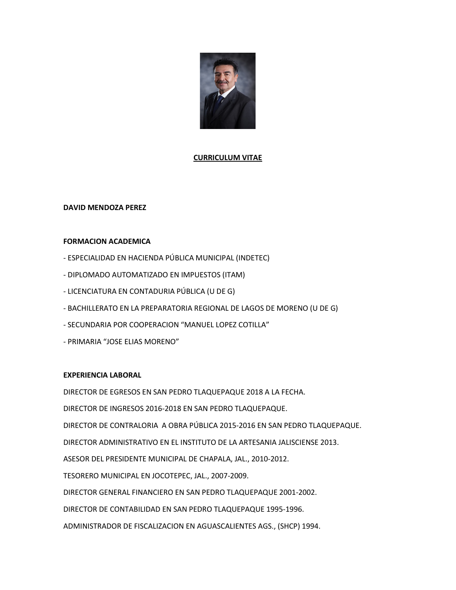

# CURRICULUM VITAE

## DAVID MENDOZA PEREZ

## FORMACION ACADEMICA

- ESPECIALIDAD EN HACIENDA PÚBLICA MUNICIPAL (INDETEC)
- DIPLOMADO AUTOMATIZADO EN IMPUESTOS (ITAM)
- LICENCIATURA EN CONTADURIA PÚBLICA (U DE G)
- BACHILLERATO EN LA PREPARATORIA REGIONAL DE LAGOS DE MORENO (U DE G)
- SECUNDARIA POR COOPERACION "MANUEL LOPEZ COTILLA"
- PRIMARIA "JOSE ELIAS MORENO"

## EXPERIENCIA LABORAL

DIRECTOR DE EGRESOS EN SAN PEDRO TLAQUEPAQUE 2018 A LA FECHA. DIRECTOR DE INGRESOS 2016-2018 EN SAN PEDRO TLAQUEPAQUE. DIRECTOR DE CONTRALORIA A OBRA PÚBLICA 2015-2016 EN SAN PEDRO TLAQUEPAQUE. DIRECTOR ADMINISTRATIVO EN EL INSTITUTO DE LA ARTESANIA JALISCIENSE 2013. ASESOR DEL PRESIDENTE MUNICIPAL DE CHAPALA, JAL., 2010-2012. TESORERO MUNICIPAL EN JOCOTEPEC, JAL., 2007-2009. DIRECTOR GENERAL FINANCIERO EN SAN PEDRO TLAQUEPAQUE 2001-2002. DIRECTOR DE CONTABILIDAD EN SAN PEDRO TLAQUEPAQUE 1995-1996. ADMINISTRADOR DE FISCALIZACION EN AGUASCALIENTES AGS., (SHCP) 1994.